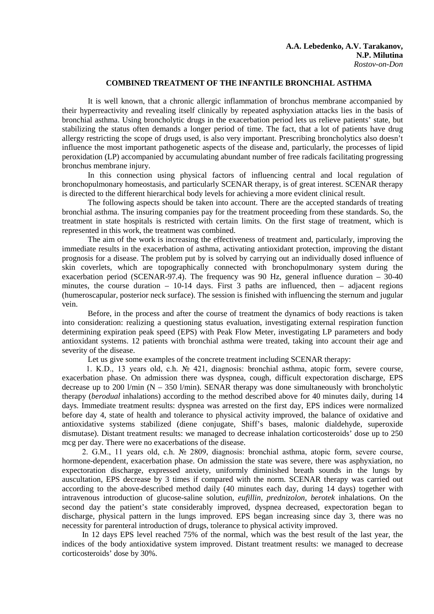## **COMBINED TREATMENT OF THE INFANTILE BRONCHIAL ASTHMA**

It is well known, that a chronic allergic inflammation of bronchus membrane accompanied by their hyperreactivity and revealing itself clinically by repeated asphyxiation attacks lies in the basis of bronchial asthma. Using broncholytic drugs in the exacerbation period lets us relieve patients' state, but stabilizing the status often demands a longer period of time. The fact, that a lot of patients have drug allergy restricting the scope of drugs used, is also very important. Prescribing broncholytics also doesn't influence the most important pathogenetic aspects of the disease and, particularly, the processes of lipid peroxidation (LP) accompanied by accumulating abundant number of free radicals facilitating progressing bronchus membrane injury.

In this connection using physical factors of influencing central and local regulation of bronchopulmonary homeostasis, and particularly SCENAR therapy, is of great interest. SCENAR therapy is directed to the different hierarchical body levels for achieving a more evident clinical result.

The following aspects should be taken into account. There are the accepted standards of treating bronchial asthma. The insuring companies pay for the treatment proceeding from these standards. So, the treatment in state hospitals is restricted with certain limits. On the first stage of treatment, which is represented in this work, the treatment was combined.

The aim of the work is increasing the effectiveness of treatment and, particularly, improving the immediate results in the exacerbation of asthma, activating antioxidant protection, improving the distant prognosis for a disease. The problem put by is solved by carrying out an individually dosed influence of skin coverlets, which are topographically connected with bronchopulmonary system during the exacerbation period (SCENAR-97.4). The frequency was 90 Hz, general influence duration – 30-40 minutes, the course duration  $-10-14$  days. First 3 paths are influenced, then  $-$  adjacent regions (humeroscapular, posterior neck surface). The session is finished with influencing the sternum and jugular vein.

Before, in the process and after the course of treatment the dynamics of body reactions is taken into consideration: realizing a questioning status evaluation, investigating external respiration function determining expiration peak speed (EPS) with Peak Flow Meter, investigating LP parameters and body antioxidant systems. 12 patients with bronchial asthma were treated, taking into account their age and severity of the disease.

Let us give some examples of the concrete treatment including SCENAR therapy:

 1. K.D., 13 years old, c.h. № 421, diagnosis: bronchial asthma, atopic form, severe course, exacerbation phase. On admission there was dyspnea, cough, difficult expectoration discharge, EPS decrease up to 200 l/min  $(N - 350 \text{ l/min})$ . SENAR therapy was done simultaneously with broncholytic therapy (*berodual* inhalations) according to the method described above for 40 minutes daily, during 14 days. Immediate treatment results: dyspnea was arrested on the first day, EPS indices were normalized before day 4, state of health and tolerance to physical activity improved, the balance of oxidative and antioxidative systems stabilized (diene conjugate, Shiff's bases, malonic dialdehyde, superoxide dismutase). Distant treatment results: we managed to decrease inhalation corticosteroids' dose up to 250 mcg per day. There were no exacerbations of the disease.

 2. G.M., 11 years old, c.h. № 2809, diagnosis: bronchial asthma, atopic form, severe course, hormone-dependent, exacerbation phase. On admission the state was severe, there was asphyxiation, no expectoration discharge, expressed anxiety, uniformly diminished breath sounds in the lungs by auscultation, EPS decrease by 3 times if compared with the norm. SCENAR therapy was carried out according to the above-described method daily (40 minutes each day, during 14 days) together with intravenous introduction of glucose-saline solution, *eufillin, prednizolon, berotek* inhalations. On the second day the patient's state considerably improved, dyspnea decreased, expectoration began to discharge, physical pattern in the lungs improved. EPS began increasing since day 3, there was no necessity for parenteral introduction of drugs, tolerance to physical activity improved.

 In 12 days EPS level reached 75% of the normal, which was the best result of the last year, the indices of the body antioxidative system improved. Distant treatment results: we managed to decrease corticosteroids' dose by 30%.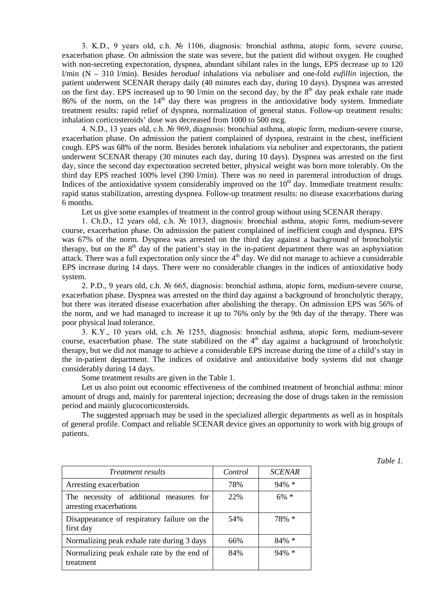3. K.D., 9 years old, c.h. № 1106, diagnosis: bronchial asthma, atopic form, severe course, exacerbation phase. On admission the state was severe, but the patient did without oxygen. He coughed with non-secreting expectoration, dyspnea, abundant sibilant rales in the lungs, EPS decrease up to 120 l/min (N – 310 l/min). Besides *berodual* inhalations via nebuliser and one-fold *eufillin* injection, the patient underwent SCENAR therapy daily (40 minutes each day, during 10 days). Dyspnea was arrested on the first day. EPS increased up to 90 l/min on the second day, by the  $8<sup>th</sup>$  day peak exhale rate made  $86\%$  of the norm, on the  $14<sup>th</sup>$  day there was progress in the antioxidative body system. Immediate treatment results: rapid relief of dyspnea, normalization of general status. Follow-up treatment results: inhalation corticosteroids' dose was decreased from 1000 to 500 mcg.

4. N.D., 13 years old, c.h. № 969, diagnosis: bronchial asthma, atopic form, medium-severe course, exacerbation phase. On admission the patient complained of dyspnea, restraint in the chest, inefficient cough. EPS was 68% of the norm. Besides berotek inhalations via nebuliser and expectorants, the patient underwent SCENAR therapy (30 minutes each day, during 10 days). Dyspnea was arrested on the first day, since the second day expectoration secreted better, physical weight was born more tolerably. On the third day EPS reached 100% level (390 l/min). There was no need in parenteral introduction of drugs. Indices of the antioxidative system considerably improved on the  $10<sup>th</sup>$  day. Immediate treatment results: rapid status stabilization, arresting dyspnea. Follow-up treatment results: no disease exacerbations during 6 months.

Let us give some examples of treatment in the control group without using SCENAR therapy.

1. Ch.D., 12 years old, c.h. № 1013, diagnosis: bronchial asthma, atopic form, medium-severe course, exacerbation phase. On admission the patient complained of inefficient cough and dyspnea. EPS was 67% of the norm. Dyspnea was arrested on the third day against a background of broncholytic therapy, but on the  $8<sup>th</sup>$  day of the patient's stay in the in-patient department there was an asphyxiation attack. There was a full expectoration only since the  $4<sup>th</sup>$  day. We did not manage to achieve a considerable EPS increase during 14 days. There were no considerable changes in the indices of antioxidative body system.

2. P.D., 9 years old, c.h. № 665, diagnosis: bronchial asthma, atopic form, medium-severe course, exacerbation phase. Dyspnea was arrested on the third day against a background of broncholytic therapy, but there was iterated disease exacerbation after abolishing the therapy. On admission EPS was 56% of the norm, and we had managed to increase it up to 76% only by the 9th day of the therapy. There was poor physical load tolerance.

3. K.Y., 10 years old, c.h. № 1255, diagnosis: bronchial asthma, atopic form, medium-severe course, exacerbation phase. The state stabilized on the  $4<sup>th</sup>$  day against a background of broncholytic therapy, but we did not manage to achieve a considerable EPS increase during the time of a child's stay in the in-patient department. The indices of oxidative and antioxidative body systems did not change considerably during 14 days.

Some treatment results are given in the Table 1.

Let us also point out economic effectiveness of the combined treatment of bronchial asthma: minor amount of drugs and, mainly for parenteral injection; decreasing the dose of drugs taken in the remission period and mainly glucocorticosteroids.

The suggested approach may be used in the specialized allergic departments as well as in hospitals of general profile. Compact and reliable SCENAR device gives an opportunity to work with big groups of patients.

*Table 1.*

| <i>Treatment results</i>                                            | Control | <b>SCENAR</b> |
|---------------------------------------------------------------------|---------|---------------|
| Arresting exacerbation                                              | 78%     | $94\% *$      |
| The necessity of additional measures for<br>arresting exacerbations | 22%     | $6\% *$       |
| Disappearance of respiratory failure on the<br>first day            | 54%     | 78% *         |
| Normalizing peak exhale rate during 3 days                          | 66%     | $84\% *$      |
| Normalizing peak exhale rate by the end of<br>treatment             | 84%     | $94\% *$      |